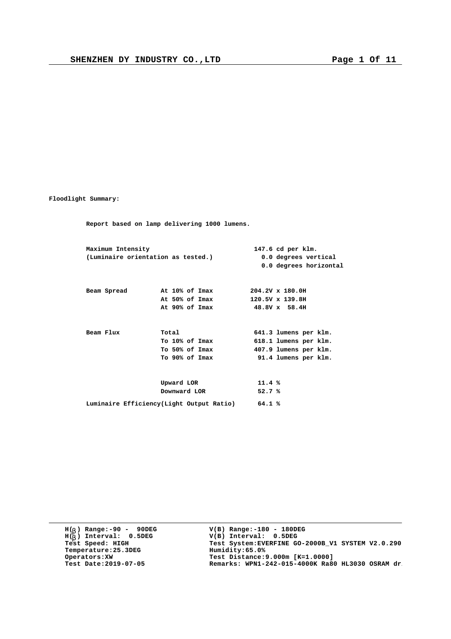**Floodlight Summary:**

**Report based on lamp delivering 1000 lumens. Maximum Intensity 147.6 cd per klm. (Luminaire orientation as tested.) 0.0 degrees vertical 0.0 degrees horizontal Beam Spread At 10% of Imax 204.2V x 180.0H At 50% of Imax 120.5V x 139.8H At 90% of Imax 48.8V x 58.4H Beam Flux Total 641.3 lumens per klm.**<br>**To 10% of Imax 618.1 lumens per klm. To 10% of Imax 618.1 lumens per klm. To 50% of Imax 407.9 lumens per klm. To 90% of Imax 91.4 lumens per klm. Upward LOR 11.4 % Downward LOR 52.7 % Luminaire Efficiency(Light Output Ratio) 64.1 %**

**H( ) Range:-90 - 90DEG** H(<sub>b</sub>) Range:-90 - 90DE<br>H(<sub>b</sub>) Interval: 0.5DEG **b Temperature: 25.3DEG**<br>**Operators: XW**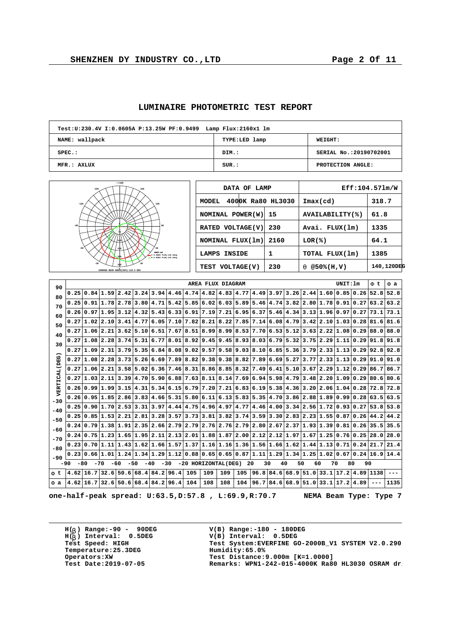|  | <b>LUMINAIRE PHOTOMETRIC TEST REPORT</b> |  |  |
|--|------------------------------------------|--|--|
|--|------------------------------------------|--|--|

| Test: U: 230.4V I: 0.0605A P: 13.25W PF: 0.9499 Lamp Flux: 2160x1 lm |               |                        |
|----------------------------------------------------------------------|---------------|------------------------|
| NAME: wallpack                                                       | TYPE:LED lamp | <b>WEIGHT:</b>         |
| $SPEC.$ :                                                            | DIM.:         | SERIAL No.:20190702001 |
| MFR.: AXLUX                                                          | SUR.:         | PROTECTION ANGLE:      |

| $- / +180$                                                                                          |             |
|-----------------------------------------------------------------------------------------------------|-------------|
| $-150$<br>150                                                                                       |             |
| $-120$<br>120                                                                                       | MODE        |
|                                                                                                     | <b>NOMI</b> |
| $-90$<br>90                                                                                         | <b>RATE</b> |
| 140                                                                                                 | <b>NOMI</b> |
| 60<br>$-60$<br>210<br><b>UNIT:ed</b><br>V 0.0DEG PLAN, 146.6deg<br>280<br>= # 0.0DEG PLAN, 120.5deg | LAMP        |
| 30<br>$-30$<br>R<br>AVERAGE BEAM ANGLE(50%):133.5 DEG                                               | <b>TEST</b> |

| DATA OF LAMP                      |      |                            | Eff:104.571m/W |
|-----------------------------------|------|----------------------------|----------------|
| 4000K Ra80 HL3030<br><b>MODEL</b> |      | $\texttt{Imax}(\text{cd})$ | 318.7          |
| NOMINAL POWER (W)                 | 15   | AVAILABILITY(%)            | 61.8           |
| RATED VOLTAGE(V)                  | 230  | Avai. FLUX(lm)             | 1335           |
| NOMINAL FLUX(1m)                  | 2160 | LOR(%)                     | 64.1           |
| LAMPS INSIDE                      | 1    | TOTAL FLUX(1m)             | 1385           |
| TEST VOLTAGE(V)                   | 230  | $@50*(H,V)$<br>a           | 140,120DEG     |

| 90            |                                                                                                                                |                            |                |                                                     |                  |                                                                                                                 |  |     | AREA FLUX DIAGRAM |     |     |                                                                                                                            |             |      |                                                                                                                                                                                                      | UNIT: 1m |                      | F t         | F a         |
|---------------|--------------------------------------------------------------------------------------------------------------------------------|----------------------------|----------------|-----------------------------------------------------|------------------|-----------------------------------------------------------------------------------------------------------------|--|-----|-------------------|-----|-----|----------------------------------------------------------------------------------------------------------------------------|-------------|------|------------------------------------------------------------------------------------------------------------------------------------------------------------------------------------------------------|----------|----------------------|-------------|-------------|
| 80            |                                                                                                                                |                            |                |                                                     |                  | $0.25 \mid 0.84 \mid 1.59 \mid 2.42 \mid 3.24 \mid 3.94 \mid 4.46 \mid 4.74 \mid 4.82 \mid 4.83 \mid 4.77 \mid$ |  |     |                   |     |     | 4.49                                                                                                                       |             |      | $3.97$ $3.26$ $2.44$ $1.60$ $0.85$ $0.26$                                                                                                                                                            |          |                      | 52.8        | 52.8        |
| 70            |                                                                                                                                |                            |                |                                                     |                  |                                                                                                                 |  |     |                   |     |     |                                                                                                                            |             |      | $0.25 0.91 1.78 2.78 3.80 4.71 5.42 5.85 6.02 6.03 5.89 5.46 4.74 3.82 2.80 1.78 0.91 0.27 63.2 63.2$                                                                                                |          |                      |             |             |
| 60            |                                                                                                                                |                            |                |                                                     |                  |                                                                                                                 |  |     |                   |     |     |                                                                                                                            |             |      | $0.26 \mid 0.97 \mid 1.95 \mid 3.12 \mid 4.32 \mid 5.43 \mid 6.33 \mid 6.91 \mid 7.19 \mid 7.21 \mid 6.95 \mid 6.37 \mid 5.46 \mid 4.34 \mid 3.13 \mid 1.96 \mid 0.97 \mid 0.27 \mid 73.1 \mid 73.1$ |          |                      |             |             |
| 50            |                                                                                                                                | 0.27 1.02 2.10             |                | $3.41 \mid 4.77$                                    |                  |                                                                                                                 |  |     |                   |     |     | $(6.05 7.10 7.82 8.21 8.22 7.85 7.14 6.08 4.79$                                                                            |             |      | 3.42 2.10                                                                                                                                                                                            |          | 1.03 0.28            | $81.6$ 81.6 |             |
| 40            |                                                                                                                                |                            |                |                                                     |                  |                                                                                                                 |  |     |                   |     |     |                                                                                                                            |             |      | $0.27 1.06 2.21 3.62 5.10 6.51 7.67 8.51 8.99 8.99 8.53 7.70 6.53 5.12 3.63 2.22 1.08 0.29 88.0 88.0$                                                                                                |          |                      |             |             |
| 30            |                                                                                                                                |                            |                |                                                     |                  |                                                                                                                 |  |     |                   |     |     | $0.27 1.08 2.28 3.74 5.31 6.77 8.01 8.92 9.45 9.45 8.93 8.03 6.79 5.32$                                                    |             |      | 3.75 2.29 1.11 0.29 91.8 91.8                                                                                                                                                                        |          |                      |             |             |
|               |                                                                                                                                | 0.27 1.09 2.31             |                |                                                     | $3.79 \mid 5.35$ |                                                                                                                 |  |     |                   |     |     | (6.84 8.08 9.02 9.57 9.58 9.03 8.10)                                                                                       | $6.85$ 5.36 |      | 3.79 2.33 1.13 0.29                                                                                                                                                                                  |          |                      | $92.8$ 92.8 |             |
| VERTICAL (DEG |                                                                                                                                |                            |                |                                                     |                  |                                                                                                                 |  |     |                   |     |     |                                                                                                                            |             |      | $0.27 1.08 2.28 3.73 5.26 6.69 7.89 8.82 9.38 8.82 7.89 6.69 5.27 3.77 2.33 1.13 0.29 91.0 91.0$                                                                                                     |          |                      |             |             |
|               |                                                                                                                                | 0.27 1.06 2.21             |                |                                                     |                  |                                                                                                                 |  |     |                   |     |     |                                                                                                                            |             |      | $\mid$ 3,58 5,02 6,36 7,46 8,31 8,86 8,85 8,32 7,49 6,41 5,10 3,67 2,29 1,12 0,29 86,7 86,7                                                                                                          |          |                      |             |             |
|               | 0.27                                                                                                                           | $1.03$ $2.11$              |                | $3.39 \mid 4.70$                                    |                  |                                                                                                                 |  |     |                   |     |     | $ 5.90 6.88 7.63 8.11 8.14 7.69 6.94 5.98 $                                                                                |             | 4.79 | 3.48 2.20 1.09 0.29                                                                                                                                                                                  |          |                      | $80.6$ 80.6 |             |
|               |                                                                                                                                |                            |                |                                                     |                  |                                                                                                                 |  |     |                   |     |     |                                                                                                                            |             |      | $0.26 \mid 0.99 \mid 1.99 \mid 3.15 \mid 4.31 \mid 5.34 \mid 6.15 \mid 6.79 \mid 7.20 \mid 7.21 \mid 6.83 \mid 6.19 \mid 5.38 \mid 4.36 \mid 3.20 \mid 2.06 \mid 1.04 \mid 0.28 \mid 72.8 \mid 72.8$ |          |                      |             |             |
| $-30$         |                                                                                                                                |                            |                | $0.26 \mid 0.95 \mid 1.85 \mid 2.86 \mid 3.83 \mid$ |                  |                                                                                                                 |  |     |                   |     |     |                                                                                                                            |             |      | $4.66$   5.31   5.80   6.11   6.13   5.83   5.35   4.70   3.86   2.88   1.89   0.99   0.28   63.5   63.5                                                                                             |          |                      |             |             |
| $-40$         |                                                                                                                                |                            | 0.25 0.90 1.70 | 2.53 3.31                                           |                  |                                                                                                                 |  |     |                   |     |     |                                                                                                                            |             |      | $3.97 4.44 4.75 4.96 4.97 4.77 4.46 4.00 3.34 2.56 1.72 0.93 0.27$                                                                                                                                   |          |                      |             | $53.8$ 53.8 |
| $-50$         |                                                                                                                                |                            |                |                                                     |                  |                                                                                                                 |  |     |                   |     |     |                                                                                                                            |             |      | $0.25 \mid 0.85 \mid 1.53 \mid 2.21 \mid 2.81 \mid 3.28 \mid 3.57 \mid 3.73 \mid 3.81 \mid 3.82 \mid 3.74 \mid 3.59 \mid 3.30 \mid 2.83 \mid 2.23 \mid 1.55 \mid 0.87 \mid 0.26 \mid 44.2 \mid 44.2$ |          |                      |             |             |
| $-60$         |                                                                                                                                |                            |                |                                                     |                  |                                                                                                                 |  |     |                   |     |     | $0.24 0.79 1.38 1.91 2.35 2.66 2.79 2.79 2.76 2.76 2.79 2.80 2.67 2.37$                                                    |             |      | 1.93 1.39 0.81 0.26 35.5 35.5                                                                                                                                                                        |          |                      |             |             |
| $-70$         |                                                                                                                                | $0.24 \mid 0.75 \mid 1.23$ |                |                                                     |                  |                                                                                                                 |  |     |                   |     |     | $\vert 1.65 \vert 1.95 \vert 2.11 \vert 2.13 \vert 2.01 \vert 1.88 \vert 1.87 \vert 2.00 \vert 2.12 \vert 2.12 \vert 1.97$ |             |      | 1.67 1.25 0.76 0.25                                                                                                                                                                                  |          |                      | 28.0        | 28.0        |
| $-80$         |                                                                                                                                |                            |                |                                                     |                  |                                                                                                                 |  |     |                   |     |     |                                                                                                                            |             |      | $0.23 0.70 1.11 1.43 1.62 1.66 1.57 1.37 1.16 1.16 1.36 1.56 1.66 1.62 1.44 1.13 0.71 0.24 21.7 21.4$                                                                                                |          |                      |             |             |
| $-90$         | 0.23                                                                                                                           |                            |                |                                                     |                  |                                                                                                                 |  |     |                   |     |     |                                                                                                                            |             |      | $0.66 1.01 1.24 1.34 1.29 1.12 0.88 0.65 0.65 0.87 1.11 1.29 1.34 1.25 1.02 0.67 0.24 16.9 14.4$                                                                                                     |          |                      |             |             |
|               | -20 HORIZONTAL(DEG)<br>20<br>40<br>50<br>60<br>80<br>-80<br>$-70$<br>$-60$<br>$-50$<br>$-40$<br>$-30$<br>30<br>70<br>90<br>-90 |                            |                |                                                     |                  |                                                                                                                 |  |     |                   |     |     |                                                                                                                            |             |      |                                                                                                                                                                                                      |          |                      |             |             |
| Ft            | $4.62$   16.7  32.6                                                                                                            |                            |                |                                                     |                  | $50.6$ 68.4 84.2 96.4                                                                                           |  | 105 | 109               | 109 | 105 | 96.8                                                                                                                       | 84.6        | 68.9 | 51.0 33.1                                                                                                                                                                                            |          | $17.2$   4.89   1138 |             |             |
| Fa            | 4.62 16.7 32.6                                                                                                                 |                            |                |                                                     |                  | 50.6 68.4 84.2 96.4                                                                                             |  | 104 | 108               | 108 |     | 104 96.7                                                                                                                   |             |      | $84.6$ 68.9 51.0 33.1 17.2 4.89                                                                                                                                                                      |          |                      |             | 1135        |

**one-half-peak spread: U:63.5,D:57.8 , L:69.9,R:70.7 NEMA Beam Type: Type 7**

**H( ) Range:-90 - 90DEG** H(<sub>b</sub>) Range:-90 - 90DE<br>H(<sub>b</sub>) Interval: 0.5DEG **b Temperature: 25.3DEG**<br> **Operators: XW**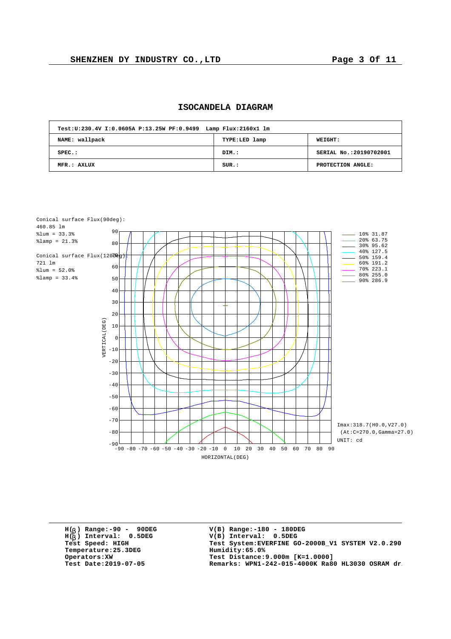| ISOCANDELA DIAGRAM |
|--------------------|
|                    |

| Test: U: 230.4V I: 0.0605A P: 13.25W PF: 0.9499 Lamp Flux: 2160x1 lm |               |                         |
|----------------------------------------------------------------------|---------------|-------------------------|
| NAME: wallpack                                                       | TYPE:LED lamp | <b>WEIGHT:</b>          |
| $SPEC.$ :                                                            | DIM.:         | SERIAL No.: 20190702001 |
| MFR.: AXLUX                                                          | SUR.:         | PROTECTION ANGLE:       |

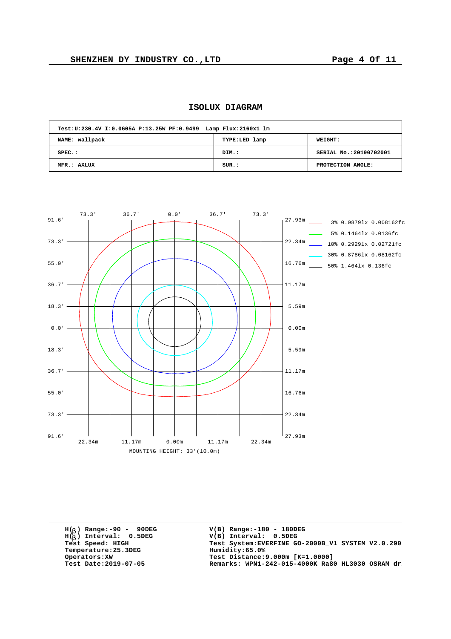| Test: U: 230.4V I: 0.0605A P: 13.25W PF: 0.9499 Lamp Flux: 2160x1 lm |               |                         |
|----------------------------------------------------------------------|---------------|-------------------------|
| NAME: wallpack                                                       | TYPE:LED lamp | WEIGHT:                 |
| $SPEC.$ :                                                            | DIM.:         | SERIAL No.: 20190702001 |
| MFR.: AXLUX                                                          | SUR.:         | PROTECTION ANGLE:       |



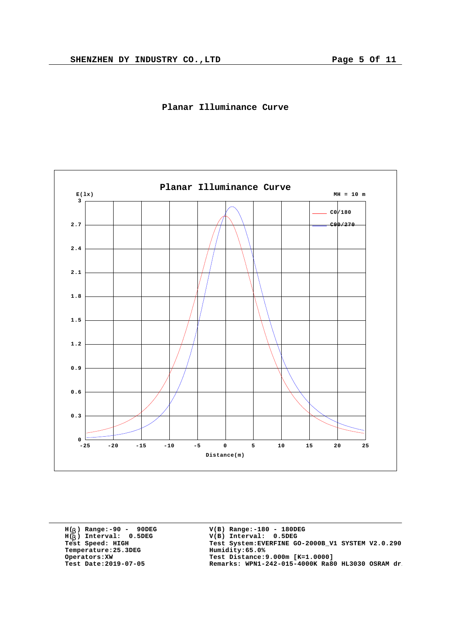

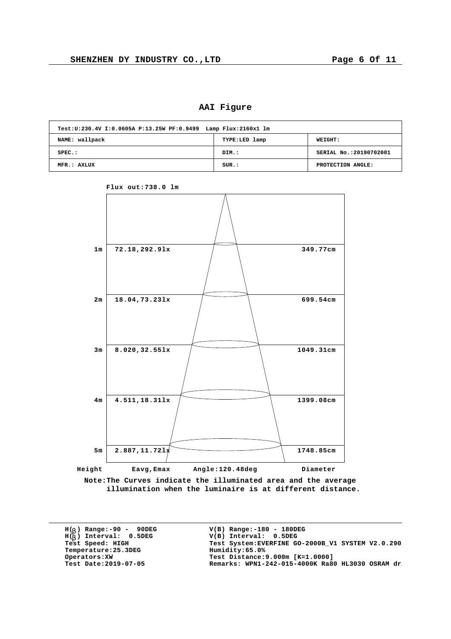**AAI Figure**

| Test: U: 230.4V I: 0.0605A P: 13.25W PF: 0.9499 Lamp Flux: 2160x1 lm |               |                         |
|----------------------------------------------------------------------|---------------|-------------------------|
| NAME: wallpack                                                       | TYPE:LED lamp | WEIGHT:                 |
| $SPEC.$ :                                                            | DIM.:         | SERIAL No.: 20190702001 |
| MFR.: AXLUX                                                          | SUR.:         | PROTECTION ANGLE:       |



**Flux out:738.0 lm**

**Note:The Curves indicate the illuminated area and the average illumination when the luminaire is at different distance.**

**H( ) Range:-90 - 90DEG** H(<sub>b</sub>) Range:-90 - 90DE<br>H(<sub>b</sub>) Interval: 0.5DEG **b**  $Temperature:25.3DEG$ <br>Operators:XW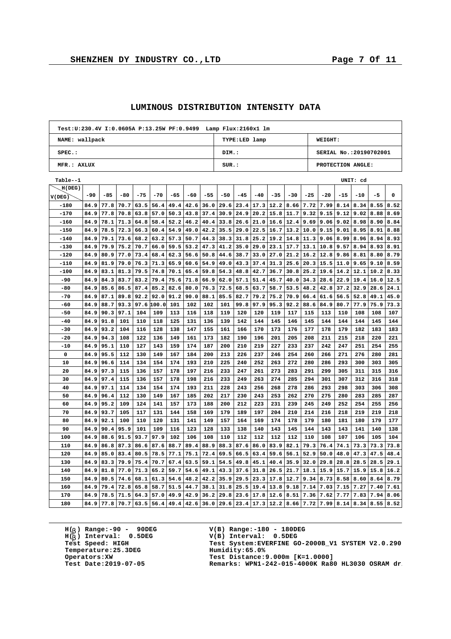$\overline{1}$ 

h

|                |      |       |       |       |            |       |       |       | Test: U: 230.4V I: 0.0605A P: 13.25W PF: 0.9499 Lamp Flux: 2160x1 lm |               |       |                |                      |             |                        |                   |          |      |      |  |
|----------------|------|-------|-------|-------|------------|-------|-------|-------|----------------------------------------------------------------------|---------------|-------|----------------|----------------------|-------------|------------------------|-------------------|----------|------|------|--|
| NAME: wallpack |      |       |       |       |            |       |       |       |                                                                      | TYPE:LED lamp |       |                |                      |             |                        | WEIGHT:           |          |      |      |  |
| $SPEC.$ :      |      |       |       |       |            |       |       |       | DIM.:                                                                |               |       |                |                      |             | SERIAL No.:20190702001 |                   |          |      |      |  |
| MFR.: AXLUX    |      |       |       |       |            |       |       |       | SUR.:                                                                |               |       |                |                      |             |                        | PROTECTION ANGLE: |          |      |      |  |
| Table--1       |      |       |       |       |            |       |       |       |                                                                      |               |       |                |                      |             |                        |                   | UNIT: cd |      |      |  |
| H(DEG)         |      |       |       |       |            |       |       |       |                                                                      |               |       |                |                      |             |                        |                   |          |      |      |  |
| V(DEG)         | -90  | $-85$ | $-80$ | $-75$ | $-70$      | $-65$ | $-60$ | $-55$ | $-50$                                                                | $-45$         | $-40$ | $-35$          | $-30$                | $-25$       | $-20$                  | $-15$             | $-10$    | $-5$ | 0    |  |
| $-180$         | 84.9 | 77.8  | 70.7  | 63.5  | 56.4       | 49.4  | 42.6  | 36.0  | 29.6                                                                 | 23.4          | 17.3  | 12.2           | 8.66                 | 7.72        | 7.99                   | 8.14              | 8.34     | 8.55 | 8.52 |  |
| $-170$         | 84.9 | 77.8  | 70.8  | 63.8  | 57.0       | 50.3  | 43.8  | 37.4  | 30.9                                                                 | 24.9          | 20.2  | 15.8           | 11.7                 | 9.32        | 9.15                   | 9.12              | 9.02     | 8.88 | 8.69 |  |
| $-160$         | 84.9 | 78.1  | 71.3  | 64.8  | 58.4       | 52.2  | 46.2  | 40.4  | 33.8                                                                 | 26.6          | 21.0  | 16.6           | $\vert 12.4 \vert$   | 9.69        | 9.06                   | 9.02              | 8.98     | 8.90 | 8.84 |  |
| $-150$         | 84.9 | 78.5  | 72.3  | 66.3  | 60.4       | 54.9  | 49.0  | 42.2  | 35.5                                                                 | 29.0          | 22.5  |                | $16.7$   13.2   10.0 |             | 9.15                   | 9.01              | 8.95     | 8.91 | 8.88 |  |
| $-140$         | 84.9 | 79.1  | 73.6  | 68.2  | 63.2       | 57.3  | 50.7  | 44.3  | 38.3                                                                 | 31.8          | 25.2  | 19.2           | 14.8                 | 11.3        | 9.06                   | 8.99              | 8.96     | 8.94 | 8.93 |  |
| $-130$         | 84.9 | 79.9  | 75.2  | 70.7  | 66.0       | 59.5  | 53.2  | 47.3  | 41.2                                                                 | 35.0          | 29.0  | 23.1           | 17.7                 | 13.1        | 10.8                   | 9.57              | 8.94     | 8.93 | 8.91 |  |
| $-120$         | 84.9 | 80.9  | 77.0  | 73.4  | 68.4       | 62.3  | 56.6  | 50.8  | 44.6                                                                 | 38.7          | 33.0  | 27.0           | 21.2                 | 16.2        | 12.8                   | 9.86              | 8.81     | 8.80 | 8.79 |  |
| $-110$         | 84.9 | 81.9  | 79.0  | 76.3  | 71.3       | 65.9  | 60.6  | 54.9  | 49.0                                                                 | 43.3          | 37.4  | 31.3           | 25.6                 | 20.3        | $15.5$   11.0          |                   | 9.65     | 9.10 | 8.59 |  |
| $-100$         | 84.9 | 83.1  | 81.3  | 79.5  | 74.8       | 70.1  | 65.4  | 59.8  | 54.3                                                                 | 48.8          | 42.7  | 36.7           | 30.8                 | 25.2        | 19.6                   | 14.2              | 12.1     | 10.2 | 8.33 |  |
| $-90$          | 84.9 | 84.3  | 83.7  | 83.2  | 79.4       | 75.6  | 71.8  | 66.9  | 62.0                                                                 | 57.1          | 51.4  | 45.7           | 40.0                 | 34.3        | 28.6                   | 22.9              | 19.4     | 16.0 | 12.5 |  |
| $-80$          | 84.9 | 85.6  | 86.5  | 87.4  | 85.2       | 82.6  | 80.0  | 76.3  | 72.5                                                                 | 68.5          | 63.7  | 58.7           | 53.5                 | 48.2        | 42.8                   | 37.2              | 32.9     | 28.6 | 24.1 |  |
| $-70$          | 84.9 | 87.1  | 89.8  | 92.2  | 92.0       | 91.2  | 90.0  | 88.1  | 85.5                                                                 | 82.7          | 79.2  | 75.2           | 70.9                 | 66.4        | 61.6                   | 56.5              | 52.8     | 49.1 | 45.0 |  |
| -60            | 84.9 | 88.7  | 93.3  |       | 97.6 100.0 | 101   | 102   | 102   | 101                                                                  | 99.8          | 97.9  | 95.3           | 92.2                 | 88.6        | 84.9                   | 80.7              | 77.9     | 75.9 | 73.3 |  |
| $-50$          | 84.9 | 90.3  | 97.1  | 104   | 109        | 113   | 116   | 118   | 119                                                                  | 120           | 120   | 119            | 117                  | 115         | 113                    | 110               | 108      | 108  | 107  |  |
| $-40$          | 84.9 | 91.8  | 101   | 110   | 118        | 125   | 131   | 136   | 139                                                                  | 142           | 144   | 145            | 146                  | 145         | 144                    | 144               | 144      | 145  | 144  |  |
| $-30$          | 84.9 | 93.2  | 104   | 116   | 128        | 138   | 147   | 155   | 161                                                                  | 166           | 170   | 173            | 176                  | 177         | 178                    | 179               | 182      | 183  | 183  |  |
| $-20$          | 84.9 | 94.3  | 108   | 122   | 136        | 149   | 161   | 173   | 182                                                                  | 190           | 196   | 201            | 205                  | 208         | 211                    | 215               | 218      | 220  | 221  |  |
| $-10$          | 84.9 | 95.1  | 110   | 127   | 143        | 159   | 174   | 187   | 200                                                                  | 210           | 219   | 227            | 233                  | 237         | 242                    | 247               | 251      | 254  | 255  |  |
| 0              | 84.9 | 95.5  | 112   | 130   | 149        | 167   | 184   | 200   | 213                                                                  | 226           | 237   | 246            | 254                  | 260         | 266                    | 271               | 276      | 280  | 281  |  |
| 10             | 84.9 | 96.6  | 114   | 134   | 154        | 174   | 193   | 210   | 225                                                                  | 240           | 252   | 263            | 272                  | 280         | 286                    | 293               | 300      | 303  | 305  |  |
| 20             | 84.9 | 97.3  | 115   | 136   | 157        | 178   | 197   | 216   | 233                                                                  | 247           | 261   | 273            | 283                  | 291         | 299                    | 305               | 311      | 315  | 316  |  |
| 30             | 84.9 | 97.4  | 115   | 136   | 157        | 178   | 198   | 216   | 233                                                                  | 249           | 263   | 274            | 285                  | 294         | 301                    | 307               | 312      | 316  | 318  |  |
| 40             | 84.9 | 97.1  | 114   | 134   | 154        | 174   | 193   | 211   | 228                                                                  | 243           | 256   | 268            | 278                  | 286         | 293                    | 298               | 303      | 306  | 308  |  |
| 50             | 84.9 | 96.4  | 112   | 130   | 149        | 167   | 185   | 202   | 217                                                                  | 230           | 243   | 253            | 262                  | 270         | 275                    | 280               | 283      | 285  | 287  |  |
| 60             | 84.9 | 95.2  | 109   | 124   | 141        | 157   | 173   | 188   | 200                                                                  | 212           | 223   | 231            | 239                  | 245         | 249                    | 252               | 254      | 255  | 256  |  |
| 70             | 84.9 | 93.7  | 105   | 117   | 131        | 144   | 158   | 169   | 179                                                                  | 189           | 197   | 204            | 210                  | 214         | 216                    | 218               | 219      | 219  | 218  |  |
| 80             | 84.9 | 92.1  | 100   | 110   | 120        | 131   | 141   | 149   | 157                                                                  | 164           | 169   | 174            | 178                  | 179         | 180                    | 181               | 180      | 179  | 177  |  |
| 90             | 84.9 | 90.4  | 95.9  | 101   | 109        | 116   | 123   | 128   | 133                                                                  | 138           | 140   | 143            | 145                  | 144         | 143                    | 143               | 141      | 140  | 138  |  |
| 100            | 84.9 | 88.6  | 91.5  | 93.7  | 97.9       | 102   | 106   | 108   | 110                                                                  | 112           | 112   | 112            | 112                  | 110         | 108                    | 107               | 106      | 105  | 104  |  |
| 110            | 84.9 | 86.8  | 87.3  | 86.6  | 87.6       | 88.7  | 89.4  | 88.9  | 88.3                                                                 | 87.6          | 86.0  | 83.9           | 82.1                 | 79.3        | 76.4                   | 74.1              | 73.3     | 73.3 | 73.8 |  |
| 120            | 84.9 | 85.0  | 83.4  | 80.5  | 78.5       | 77.1  | 75.1  | 72.4  | 69.5                                                                 | 66.5          | 63.4  | 59.6           | 56.1                 | 52.9        | 50.0                   | 48.0              | 47.3     | 47.5 | 48.4 |  |
| 130            | 84.9 | 83.3  | 79.9  | 75.4  | 70.7       | 67.4  | 63.5  | 59.1  | 54.5                                                                 | 49.8          | 45.1  | 40.4           | 35.9                 | 32.0        | 29.8                   | 28.8              | 28.5     | 28.5 | 29.1 |  |
| 140            | 84.9 | 81.8  | 77.0  | 71.3  | 65.2       | 59.7  | 54.6  | 49.1  | 43.3                                                                 | 37.6          | 31.8  | 26.5           | 21.7                 | 18.1        | 15.9                   | 15.7              | 15.9     | 15.8 | 16.2 |  |
| 150            | 84.9 | 80.5  | 74.6  | 68.1  | 61.3       | 54.6  | 48.2  | 42.2  | 35.9                                                                 | 29.5          | 23.3  | 17.8           | 12.7                 | 9.34        | 8.73                   | 8.58              | 8.60     | 8.64 | 8.79 |  |
| 160            | 84.9 | 79.4  | 72.8  | 65.8  | 58.7       | 51.5  | 44.7  | 38.1  | 31.8                                                                 | 25.5          | 19.4  | 13.8           | 9.18                 | 7.14        | 7.03                   | 7.15              | 7.27     | 7.40 | 7.61 |  |
| 170            | 84.9 | 78.5  | 71.5  | 64.3  | 57.0       | 49.9  | 42.9  | 36.2  | 29.8                                                                 | 23.6          | 17.8  | 12.6           | 8.51                 | 7.36        | 7.62                   | 7.77              | 7.83     | 7.94 | 8.06 |  |
| 180            | 84.9 | 77.8  | 70.7  | 63.5  | 56.4       | 49.4  | 42.6  | 36.0  | 29.6                                                                 |               |       | 23.4 17.3 12.2 |                      | 8.66   7.72 | 7.99                   | 8.14              | 8.34     | 8.55 | 8.52 |  |

## **LUMINOUS DISTRIBUTION INTENSITY DATA**

**H( ) Range:-90 - 90DEG** H(<sub>b</sub>) Range:-90 - 90DE<br>H(<sub>b</sub>) Interval: 0.5DEG **b**  $Temperature:25.3DEG$ <br>Operators:XW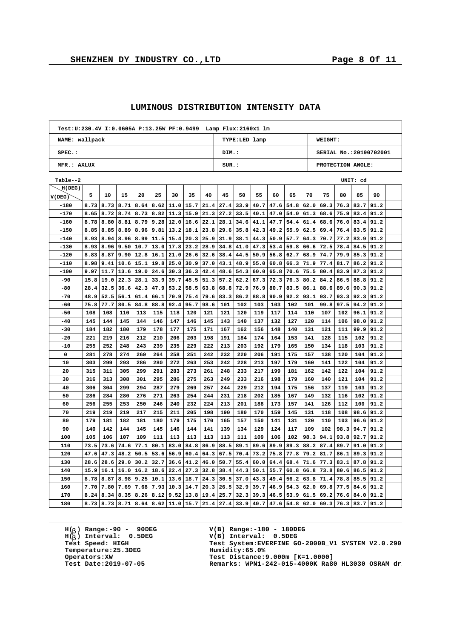$\overline{1}$ 

٦

|                | Test: U: 230.4V I: 0.0605A P: 13.25W PF: 0.9499 Lamp Flux: 2160x1 lm |      |      |      |      |                  |         |      |             |       |      |      |                  |      |                        |      |          |      |  |
|----------------|----------------------------------------------------------------------|------|------|------|------|------------------|---------|------|-------------|-------|------|------|------------------|------|------------------------|------|----------|------|--|
| NAME: wallpack | TYPE:LED lamp                                                        |      |      |      |      |                  | WEIGHT: |      |             |       |      |      |                  |      |                        |      |          |      |  |
| $SPEC.$ :      |                                                                      |      |      |      |      |                  |         |      | DIM.:       |       |      |      |                  |      | SERIAL No.:20190702001 |      |          |      |  |
|                | MFR.: AXLUX                                                          |      |      |      |      |                  |         |      |             | SUR.: |      |      |                  |      | PROTECTION ANGLE:      |      |          |      |  |
| Table--2       |                                                                      |      |      |      |      |                  |         |      |             |       |      |      |                  |      |                        |      | UNIT: cd |      |  |
| H(DEG)         |                                                                      |      |      |      |      |                  |         |      |             |       |      |      |                  |      |                        |      |          |      |  |
| V(DEG)         | 5                                                                    | 10   | 15   | 20   | 25   | 30               | 35      | 40   | 45          | 50    | 55   | 60   | 65               | 70   | 75                     | 80   | 85       | 90   |  |
| $-180$         | 8.73                                                                 | 8.73 | 8.71 | 8.64 | 8.62 | 11.0             | 15.7    | 21.4 | 27.4        | 33.9  | 40.7 | 47.6 | 54.8             | 62.0 | 69.3                   | 76.3 | 83.7     | 91.2 |  |
| $-170$         | 8.65                                                                 | 8.72 | 8.74 | 8.73 | 8.82 | 11.3             | 15.9    | 21.3 | 27.2        | 33.5  | 40.1 | 47.0 | 54.0             | 61.3 | 68.6                   | 75.9 | 83.4     | 91.2 |  |
| $-160$         | 8.78                                                                 | 8.80 | 8.81 | 8.79 | 9.28 | 12.0             | 16.6    | 22.1 | 28.1        | 34.6  | 41.1 | 47.7 | $54.4$ 61.4      |      | 68.6                   | 76.0 | 83.4     | 91.2 |  |
| $-150$         | 8.85                                                                 | 8.85 | 8.89 | 8.96 | 9.81 | 13.2             | 18.1    | 23.8 | 29.6        | 35.8  | 42.3 | 49.2 | 55.9             | 62.5 | 69.4                   | 76.4 | 83.5     | 91.2 |  |
| $-140$         | 8.93                                                                 | 8.94 | 8.96 | 8.99 | 11.5 | 15.4             | 20.3    | 25.9 | 31.9        | 38.1  | 44.3 | 50.9 | 57.7             | 64.3 | 70.7                   | 77.2 | 83.9     | 91.2 |  |
| $-130$         | 8.93                                                                 | 8.96 | 9.50 | 10.7 | 13.0 | 17.8             | 23.2    | 28.9 | 34.8        | 41.0  | 47.3 | 53.4 | 59.8             | 66.6 | 72.5                   | 78.4 | 84.5     | 91.2 |  |
| $-120$         | 8.83                                                                 | 8.87 | 9.90 | 12.8 | 16.1 | 21.0             | 26.6    | 32.6 | 38.4        | 44.5  | 50.9 | 56.8 | 62.7             | 68.9 | 74.7                   | 79.9 | 85.3     | 91.2 |  |
| $-110$         | 8.98                                                                 | 9.41 | 10.6 | 15.1 | 19.8 | 25.0             | 30.9    | 37.0 | 43.1        | 48.9  | 55.0 | 60.8 | 66.3             | 71.9 | 77.4                   | 81.7 | 86.2     | 91.2 |  |
| $-100$         | 9.97                                                                 | 11.7 | 13.6 | 19.0 | 24.6 | 30.3             | 36.3    | 42.4 | 48.6        | 54.3  | 60.0 | 65.8 | 70.6             | 75.5 | 80.4                   | 83.9 | 87.3     | 91.2 |  |
| -90            | 15.8                                                                 | 19.0 | 22.3 | 28.1 | 33.9 | 39.7             | 45.5    | 51.3 | 57.2        | 62.2  | 67.3 | 72.3 | 76.3             | 80.2 | 84.2                   | 86.5 | 88.8     | 91.2 |  |
| $-80$          | 28.4                                                                 | 32.5 | 36.6 | 42.3 | 47.9 | 53.2             | 58.5    | 63.8 | 68.8        | 72.9  | 76.9 | 80.7 | 83.5             | 86.1 | 88.6                   | 89.6 | 90.3     | 91.2 |  |
| $-70$          | 48.9                                                                 | 52.5 | 56.1 | 61.4 | 66.1 | 70.9             | 75.4    | 79.6 | 83.3        | 86.2  | 88.8 | 90.9 | 92.2             | 93.1 | 93.7                   | 93.3 | 92.3     | 91.2 |  |
| -60            | 75.8                                                                 | 77.7 | 80.5 | 84.8 | 88.8 | 92.4             | 95.7    | 98.6 | 101         | 102   | 103  | 103  | 102              | 101  | 99.8                   | 97.5 | 94.2     | 91.2 |  |
| $-50$          | 108                                                                  | 108  | 110  | 113  | 115  | 118              | 120     | 121  | 121         | 120   | 119  | 117  | 114              | 110  | 107                    | 102  | 96.1     | 91.2 |  |
| $-40$          | 145                                                                  | 144  | 145  | 144  | 146  | 147              | 146     | 145  | 143         | 140   | 137  | 132  | 127              | 120  | 114                    | 106  | 98.0     | 91.2 |  |
| $-30$          | 184                                                                  | 182  | 180  | 179  | 178  | 177              | 175     | 171  | 167         | 162   | 156  | 148  | 140              | 131  | 121                    | 111  | 99.9     | 91.2 |  |
| $-20$          | 221                                                                  | 219  | 216  | 212  | 210  | 206              | 203     | 198  | 191         | 184   | 174  | 164  | 153              | 141  | 128                    | 115  | 102      | 91.2 |  |
| $-10$          | 255                                                                  | 252  | 248  | 243  | 239  | 235              | 229     | 222  | 213         | 203   | 192  | 179  | 165              | 150  | 134                    | 118  | 103      | 91.2 |  |
| $\mathbf 0$    | 281                                                                  | 278  | 274  | 269  | 264  | 258              | 251     | 242  | 232         | 220   | 206  | 191  | 175              | 157  | 138                    | 120  | 104      | 91.2 |  |
| 10             | 303                                                                  | 299  | 293  | 286  | 280  | 272              | 263     | 253  | 242         | 228   | 213  | 197  | 179              | 160  | 141                    | 122  | 104      | 91.2 |  |
| 20             | 315                                                                  | 311  | 305  | 299  | 291  | 283              | 273     | 261  | 248         | 233   | 217  | 199  | 181              | 162  | 142                    | 122  | 104      | 91.2 |  |
| 30             | 316                                                                  | 313  | 308  | 301  | 295  | 286              | 275     | 263  | 249         | 233   | 216  | 198  | 179              | 160  | 140                    | 121  | 104      | 91.2 |  |
| 40             | 306                                                                  | 304  | 299  | 294  | 287  | 279              | 269     | 257  | 244         | 229   | 212  | 194  | 175              | 156  | 137                    | 119  | 103      | 91.2 |  |
| 50             | 286                                                                  | 284  | 280  | 276  | 271  | 263              | 254     | 244  | 231         | 218   | 202  | 185  | 167              | 149  | 132                    | 116  | 102      | 91.2 |  |
| 60             | 256                                                                  | 255  | 253  | 250  | 246  | 240              | 232     | 224  | 213         | 201   | 188  | 173  | 157              | 141  | 126                    | 112  | 100      | 91.2 |  |
| 70             | 219                                                                  | 219  | 219  | 217  | 215  | 211              | 205     | 198  | 190         | 180   | 170  | 159  | 145              | 131  | 118                    | 108  | 98.6     | 91.2 |  |
| 80             | 179                                                                  | 181  | 182  | 181  | 180  | 179              | 175     | 170  | 165         | 157   | 150  | 141  | 131              | 120  | 110                    | 103  | 96.6     | 91.2 |  |
| 90             | 140                                                                  | 142  | 144  | 145  | 145  | 146              | 144     | 141  | 139         | 134   | 129  | 124  | 117              | 109  | 102                    | 98.3 | 94.7     | 91.2 |  |
| 100            | 105                                                                  | 106  | 107  | 109  | 111  | 113              | 113     | 113  | 113         | 111   | 109  | 106  | 102              | 98.3 | 94.1                   | 93.8 | 92.7     | 91.2 |  |
| 110            | 73.5                                                                 | 73.6 | 74.6 | 77.1 | 80.1 | 83.0             | 84.8    | 86.9 | 88.5        | 89.1  | 89.6 | 89.9 | 89.3             | 88.2 | 87.4                   | 89.7 | 91.0     | 91.2 |  |
| 120            | 47.6                                                                 | 47.3 | 48.2 | 50.5 | 53.6 | 56.9             | 60.4    | 64.3 | 67.5        | 70.4  | 73.2 | 75.8 | 77.8             | 79.2 | 81.7                   | 86.1 | 89.3     | 91.2 |  |
| 130            | 28.6                                                                 | 28.6 | 29.0 | 30.2 | 32.7 | 36.6             | 41.2    | 46.0 | 50.7        | 55.4  | 60.0 | 64.4 | 68.4             | 71.6 | 77.3                   | 83.1 | 87.8     | 91.2 |  |
| 140            | 15.9                                                                 | 16.1 | 16.0 | 16.2 | 18.6 | 22.4             | 27.3    | 32.8 | 38.4        | 44.3  | 50.1 | 55.7 | 60.8             | 66.8 | 73.8                   | 80.6 | 86.5     | 91.2 |  |
| 150            | 8.78                                                                 | 8.87 | 8.98 | 9.25 | 10.1 | 13.6             | 18.7    | 24.3 | 30.5        | 37.0  | 43.3 | 49.4 | 56.2             | 63.8 | 71.4                   | 78.8 | 85.5     | 91.2 |  |
| 160            | 7.70                                                                 | 7.80 | 7.69 | 7.68 | 7.93 | 10.3             | 14.7    | 20.3 | 26.5        | 32.9  | 39.7 | 46.9 | 54.3             | 62.0 | 69.8                   | 77.5 | 84.6     | 91.2 |  |
| 170            | 8.24                                                                 | 8.34 | 8.35 | 8.26 | 8.12 | 9.52             | 13.8    | 19.4 | 25.7        | 32.3  | 39.3 | 46.5 | 53.9             | 61.5 | 69.2                   | 76.6 | 84.0     | 91.2 |  |
| 180            | 8.73                                                                 | 8.73 | 8.71 | 8.64 |      | $8.62$ 11.0 15.7 |         | 21.4 | $27.4$ 33.9 |       | 40.7 |      | $47.6$ 54.8 62.0 |      | 69.3                   | 76.3 | 83.7     | 91.2 |  |

## **LUMINOUS DISTRIBUTION INTENSITY DATA**

**H( ) Range:-90 - 90DEG** H(<sub>b</sub>) Range:-90 - 90DE<br>H(<sub>b</sub>) Interval: 0.5DEG **b**  $Temperature:25.3DEG$ <br>Operators:XW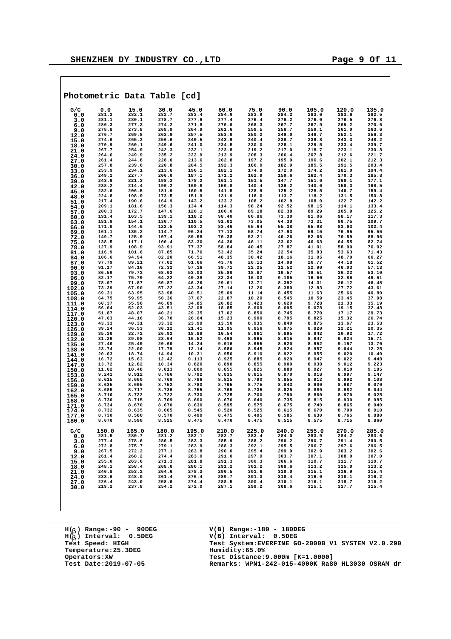|                |                |                | Photometric Data Table [cd] |                |                |                |                |                |                |                |
|----------------|----------------|----------------|-----------------------------|----------------|----------------|----------------|----------------|----------------|----------------|----------------|
| G/C            | 0.0            | 15.0           | 30.0                        | 45.0           | 60.0           | 75.0           | 90.0           | 105.0          | 120.0          | 135.0          |
| 0.0            | 281.2          | 282.1          | 282.7                       | 283.4          | 284.0          | 283.9          | 284.2          | 283.6          | 283.6          | 282.5          |
| 3.0<br>6.0     | 281.1<br>280.3 | 280.1<br>277.3 | 278.7<br>274.2              | 277.9<br>271.8 | 277.4<br>270.0 | 276.4<br>268.3 | 276.2<br>267.7 | 276.0<br>267.9 | 276.5<br>269.2 | 276.8<br>270.6 |
| 9.0            | 278.8          | 273.8          | 268.9                       | 264.9          | 261.6          | 259.5          | 258.7          | 259.1          | 261.0          | 263.6          |
| 12.0           | 276.7          | 269.8          | 262.9                       | 257.5          | 253.0          | 250.2          | 249.0          | 249.7          | 252.1          | 256.3          |
| 15.0           | 274.0          | 265.2          | 256.6                       | 249.5          | 243.9          | 240.4          | 238.7          | 239.8          | 243.3          | 248.2          |
| 18.0           | 270.9<br>267.7 | 260.1<br>254.9 | 249.6<br>242.3              | 241.0<br>232.1 | 234.5<br>223.8 | 230.0<br>219.2 | 228.1<br>217.0 | 229.5<br>218.7 | 233.4<br>223.1 | 239.7<br>230.8 |
| 21.0<br>24.0   | 264.6          | 249.9          | 235.2                       | 222.9          | 213.9          | 208.3          | 206.4          | 207.8          | 212.6          | 221.7          |
| 27.0           | 261.4          | 244.8          | 228.0                       | 213.6          | 202.8          | 197.2          | 195.0          | 196.6          | 202.1          | 212.3          |
| 30.0           | 257.8          | 239.6          | 220.8                       | 204.5          | 192.3          | 186.0          | 182.9          | 185.5          | 191.5          | 203.4          |
| 33.0           | 253.9<br>249.2 | 234.1<br>227.7 | 213.6<br>206.0              | 196.1          | 182.1          | 174.8          | 172.0          | 174.2<br>162.4 | 181.0          | 194.4          |
| 36.0<br>39.0   | 243.9          | 221.3          | 198.2                       | 187.1<br>178.2 | 171.2<br>161.1 | 162.9<br>151.5 | 159.6<br>147.7 | 151.0          | 170.3<br>160.1 | 185.8<br>177.1 |
| 42.0           | 238.2          | 214.4          | 190.2                       | 169.8          | 150.8          | 140.4          | 136.2          | 140.0          | 150.3          | 168.5          |
| 45.0           | 232.0          | 206.5          | 181.9                       | 160.5          | 141.5          | 128.9          | 125.2          | 128.5          | 140.7          | 159.4          |
| 48.0           | 224.8          | 198.9          | 173.5                       | 151.9          | 131.9          | 118.6          | 113.7          | 118.2          | 131.5          | 150.8          |
| 51.0           | 217.4<br>209.1 | 190.6<br>181.6 | 164.9<br>156.3              | 143.2<br>134.4 | 123.2<br>114.3 | 108.2<br>98.24 | 102.8<br>92.52 | 108.0<br>98.15 | 122.7<br>114.1 | 142.2<br>133.4 |
| 54.0<br>57.0   | 200.3          | 172.7          | 147.6                       | 126.1          | 106.0          | 89.18          | 82.38          | 89.29          | 105.9          | 125.2          |
| 60.0           | 191.4          | 163.5          | 139.1                       | 118.2          | 98.40          | 80.86          | 73.30          | 81.06          | 98.17          | 117.3          |
| 63.0           | 181.9          | 154.1          | 130.7                       | 110.5          | 91.02          | 73.05          | 64.30          | 73.31          | 90.75          | 109.7          |
| 66.0           | 171.0          | 144.6          | 122.5                       | 103.2          | 83.46          | 65.64          | 55.38          | 65.98          | 83.63          | 102.4          |
| 69.0           | 161.1<br>149.7 | 135.2<br>125.9 | 114.7<br>107.4              | 96.24<br>89.58 | 77.13<br>70.38 | 58.74<br>52.21 | 47.93<br>40.26 | 59.15<br>52.66 | 76.95<br>70.59 | 95.55<br>88.96 |
| 72.0<br>75.0   | 138.5          | 117.1          | 100.4                       | 83.30          | 64.30          | 46.11          | 33.62          | 46.63          | 64.55          | 82.74          |
| 78.0           | 127.9          | 108.9          | 93.91                       | 77.37          | 58.84          | 40.45          | 27.87          | 41.01          | 58.90          | 76.92          |
| 81.0           | 116.9          | 101.6          | 87.85                       | 71.76          | 53.42          | 35.24          | 22.54          | 35.83          | 53.63          | 71.43          |
| 84.0           | 106.6<br>97.79 | 94.94<br>89.21 | 82.20<br>77.02              | 66.51          | 48.35<br>43.76 | 30.42<br>26.13 | 18.16          | 31.05          | 48.70<br>44.18 | 66.27<br>61.52 |
| 87.0<br>90.0   | 91.17          | 84.16          | 72.32                       | 61.66<br>57.16 | 39.71          | 22.25          | 14.98<br>12.52 | 26.77<br>22.90 | 40.03          | 57.13          |
| 93.0           | 86.50          | 79.72          | 68.03                       | 53.03          | 35.80          | 18.87          | 10.57          | 19.51          | 36.22          | 53.10          |
| 96.0           | 82.17          | 75.79          | 64.22                       | 49.38          | 32.34          | 16.03          | 9.185          | 16.66          | 32.86          | 49.51          |
| 99.0           | 78.07          | 71.87          | 60.87                       | 46.26          | 29.61          | 13.71          | 8.392          | 14.31          | 30.12          | 46.48          |
| 102.0          | 73.39<br>69.31 | 67.90<br>63.95 | 57.22<br>53.98              | 43.34<br>40.51 | 27.14<br>25.09 | 12.26<br>11.14 | 8.380<br>8.455 | 12.83<br>11.63 | 27.72<br>25.66 | 43.61<br>40.80 |
| 105.0<br>108.0 | 64.75          | 59.95          | 50.36                       | 37.67          | 22.87          | 10.20          | 8.545          | 10.59          | 23.45          | 37.98          |
| 111.0          | 60.37          | 55.96          | 46.89                       | 34.85          | 20.82          | 9.423          | 8.620          | 9.728          | 21.33          | 35.19          |
| 114.0          | 56.04          | 52.03          | 43.51                       | 32.08          | 18.85          | 8.909          | 8.695          | 9.078          | 19.15          | 32.48          |
| 117.0          | 51.87          | 48.07          | 40.21                       | 29.35          | 17.02          | 8.850          | 8.745          | 8.770          | 17.17          | 29.73          |
| 120.0<br>123.0 | 47.63<br>43.33 | 44.16<br>40.31 | 36.70<br>33.32              | 26.64<br>23.99 | 15.23<br>13.50 | 8.900<br>8.935 | 8.795<br>8.840 | 8.825<br>8.875 | 15.32<br>13.67 | 26.74<br>23.53 |
| 126.0          | 39.24          | 36.53          | 30.12                       | 21.41          | 11.95          | 8.956          | 8.875          | 8.920          | 12.21          | 20.35          |
| 129.0          | 35.20          | 32.72          | 26.92                       | 18.89          | 10.54          | 8.961          | 8.895          | 8.942          | 10.92          | 17.72          |
| 132.0          | 31.29          | 29.08          | 23.64                       | 16.52          | 9.468          | 8.965          | 8.915          | 8.947          | 9.824          | 15.71          |
| 135.0          | 27.40<br>23.74 | 25.49<br>22.00 | 20.60<br>17.79              | 14.24<br>12.14 | 9.016<br>8.980 | 8.955<br>8.945 | 8.920<br>8.924 | 8.952<br>8.957 | 9.157<br>9.044 | 13.70<br>12.25 |
| 138.0<br>141.0 | 20.03          | 18.74          | 14.94                       | 10.31          | 8.950          | 8.910          | 8.922          | 8.955          | 9.020          | 10.49          |
| 144.0          | 16.72          | 15.63          | 12.42                       | 9.113          | 8.925          | 8.885          | 8.920          | 8.947          | 9.022          | 9.448          |
| 147.0          | 13.72          | 12.82          | 10.34                       | 8.820          | 8.890          | 8.855          | 8.900          | 8.938          | 9.012          | 9.223          |
| 150.0          | 11.02<br>9.241 | 10.48<br>8.912 | 9.013<br>8.786              | 8.800<br>8.792 | 8.855          | 8.825<br>8.815 | 8.880          | 8.927<br>8.918 | 9.010<br>8.997 | 9.185<br>9.147 |
| 153.0<br>156.0 | 8.615          | 8.660          | 8.769                       | 8.786          | 8.835<br>8.815 | 8.790          | 8.870<br>8.855 | 8.912          | 8.992          | 9.108          |
| 159.0          | 8.635          | 8.695          | 8.752                       | 8.780          | 8.795          | 8.775          | 8.843          | 8.900          | 8.987          | 9.070          |
| 162.0          | 8.685          | 8.717          | 8.736                       | 8.755          | 8.765          | 8.735          | 8.825          | 8.880          | 8.982          | 9.044          |
| 165.0          | 8.710          | 8.722          | 8.722                       | 8.730          | 8.725          | 8.700          | 8.790          | 8.860          | 8.970          | 9.025          |
| 168.0          | 8.730<br>8.734 | 8.715<br>8.670 | 8.709<br>8.670              | 8.690<br>8.630 | 8.670<br>8.595 | 8.640<br>8.575 | 8.735<br>8.675 | 8.815<br>8.740 | 8.930<br>8.865 | 8.985<br>8.940 |
| 171.0<br>174.0 | 8.732          | 8.635          | 8.605                       | 8.545          | 8.520          | 8.525          | 8.615          | 8.670          | 8.790          | 8.910          |
| 177.0          | 8.730          | 8.580          | 8.570                       | 8.490          | 8.475          | 8.495          | 8.585          | 8.630          | 8.765          | 8.880          |
| 180.0          | 8.670          | 8.590          | 8.525                       | 8.475          | 8.470          | 8.475          | 8.515          | 8.575          | 8.715          | 8,860          |
| G/C<br>0.0     | 150.0<br>281.5 | 165.0<br>280.7 | 180.0<br>281.2              | 195.0<br>282.1 | 210.0<br>282.7 | 225.0<br>283.4 | 240.0<br>284.0 | 255.0<br>283.9 | 270.0<br>284.2 | 285.0<br>283.6 |
| 3.0            | 277.4          | 278.6          | 280.5                       | 283.3          | 285.9          | 288.2          | 290.2          | 290.7          | 291.4          | 290.5          |
| 6.0            | 272.8          | 275.7          | 279.1                       | 283.9          | 288.3          | 292.1          | 295.5          | 296.7          | 297.6          | 296.5          |
| 9.0            | 267.5          | 272.2          | 277.1                       | 283.8          | 290.0          | 295.4          | 299.9          | 302.9          | 303.2          | 302.6          |
| 12.0           | 261.4<br>255.0 | 268.2<br>263.6 | 274.4<br>271.3              | 283.0<br>281.8 | 291.0<br>291.3 | 297.9<br>300.3 | 303.7<br>306.6 | 307.1<br>310.7 | 308.0<br>311.7 | 307.0<br>310.7 |
| 15.0<br>18.0   | 248.1          | 258.4          | 268.0                       | 280.1          | 291.2          | 301.2          | 308.6          | 313.2          | 315.0          | 313.2          |
| 21.0           | 240.8          | 253.2          | 264.6                       | 278.3          | 290.5          | 301.6          | 310.0          | 315.1          | 316.9          | 315.4          |
| 24.0           | 233.6          | 248.0          | 261.4                       | 276.4          | 289.7          | 301.3          | 310.4          | 316.0          | 318.1          | 316.2          |
| 27.0           | 226.4          | 243.0          | 258.0                       | 274.4          | 288.5          | 300.4          | 310.1          | 316.1          | 318.7          | 316.2          |
| 30.0           | 219.2          | 237.8          | 254.2                       | 272.0          | 287.1          | 299.2          | 308.6          | 315.1          | 317.7          | 315.4          |
|                |                |                |                             |                |                |                |                |                |                |                |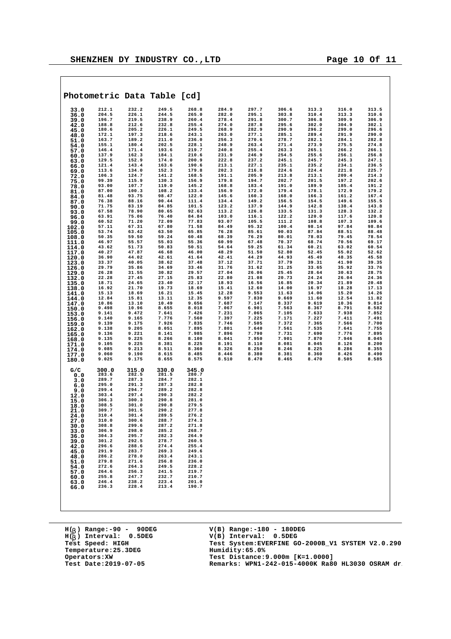|                | Photometric Data Table [cd] |                |                |                |                |                |                |                |                |                |
|----------------|-----------------------------|----------------|----------------|----------------|----------------|----------------|----------------|----------------|----------------|----------------|
| 33.0           | 212.1                       | 232.2          | 249.5          | 268.8          | 284.9          | 297.7          | 306.6          | 313.3          | 316.0          | 313.5          |
| 36.0           | 204.5                       | 226.1          | 244.5          | 265.0          | 282.0          | 295.1          | 303.8          | 310.4          | 313.3          | 310.6          |
| 39.0           | 196.7<br>188.8              | 219.5<br>212.6 | 238.9<br>232.8 | 260.4<br>255.4 | 278.4<br>274.0 | 291.8<br>287.8 | 300.7<br>295.6 | 306.8<br>302.0 | 309.9<br>304.9 | 306.9<br>302.1 |
| 42.0<br>45.0   | 180.6                       | 205.2          | 226.1          | 249.5          | 268.9          | 282.9          | 290.9          | 296.2          | 299.0          | 296.6          |
| 48.0           | 172.1                       | 197.3          | 218.6          | 243.1          | 263.0          | 277.1          | 285.1          | 289.4          | 291.9          | 290.0          |
| 51.0           | 163.7                       | 189.2          | 211.0          | 236.0          | 256.3          | 270.6          | 278.7          | 282.1          | 284.1          | 282.8          |
| 54.0           | 155.1                       | 180.4          | 202.5          | 228.1          | 248.9          | 263.4          | 271.4          | 273.9          | 275.5          | 274.8          |
| 57.0           | 146.4                       | 171.4          | 193.6          | 219.7          | 240.8          | 255.4<br>246.9 | 263.3          | 265.1          | 266.2          | 266.1<br>256.8 |
| 60.0           | 137.9<br>129.5              | 162.3<br>152.9 | 184.1<br>174.0 | 210.6<br>200.9 | 231.9<br>222.8 | 237.2          | 254.5<br>245.1 | 255.6<br>245.7 | 256.1<br>245.3 | 247.1          |
| 63.0<br>66.0   | 121.4                       | 143.4          | 163.6          | 190.6          | 213.1          | 227.1          | 235.1          | 235.2          | 234.1          | 236.5          |
| 69.0           | 113.6                       | 134.0          | 152.3          | 179.8          | 202.3          | 216.8          | 224.6          | 224.4          | 221.8          | 225.7          |
| 72.0           | 106.3                       | 124.7          | 141.2          | 168.5          | 191.1          | 205.9          | 213.8          | 213.1          | 209.4          | 214.3          |
| 75.0           | 99.39                       | 115.9          | 130.3          | 156.9          | 179.8          | 194.7          | 202.7          | 201.5          | 197.2          | 202.6          |
| 78.0           | 93.00<br>87.00              | 107.7<br>100.3 | 119.0<br>108.2 | 145.2<br>133.4 | 168.8<br>156.9 | 183.4<br>172.0 | 191.0<br>179.4 | 189.9<br>178.1 | 185.4<br>172.9 | 191.2<br>179.2 |
| 81.0<br>84.0   | 81.48                       | 93.75          | 98.47          | 122.0          | 145.6          | 160.3          | 168.0          | 166.3          | 161.2          | 167.4          |
| 87.0           | 76.38                       | 88.16          | 90.44          | 111.4          | 134.4          | 149.2          | 156.5          | 154.5          | 149.6          | 155.5          |
| 90.0           | 71.75                       | 83.19          | 84.85          | 101.5          | 123.2          | 137.9          | 144.9          | 142.8          | 138.4          | 143.8          |
| 93.0           | 67.58                       | 78.90          | 80.65          | 92.63          | 113.2          | 126.8          | 133.5          | 131.3          | 128.3          | 132.2          |
| 96.0           | 63.91                       | 75.06          | 76.40          | 84.84          | 103.0          | 116.1          | 122.2          | 120.0          | 117.6          | 120.8          |
| 99.0           | 60.52<br>57.11              | 71.20<br>67.31 | 72.09<br>67.80 | 77.83<br>71.58 | 93.07<br>84.49 | 105.5<br>95.32 | 111.2<br>100.4 | 108.8<br>98.14 | 107.3<br>97.84 | 109.6<br>98.84 |
| 102.0<br>105.0 | 53.74                       | 63.42          | 63.50          | 65.85          | 76.28          | 85.61          | 90.03          | 87.84          | 88.51          | 88.48          |
| 108.0          | 50.35                       | 59.50          | 59.24          | 60.48          | 68.39          | 76.29          | 80.01          | 78.03          | 79.45          | 78.54          |
| 111.0          | 46.97                       | 55.57          | 55.03          | 55.36          | 60.99          | 67.48          | 70.37          | 68.74          | 70.56          | 69.17          |
| 114.0          | 43.62                       | 51.73          | 50.83          | 50.51          | 54.64          | 59.25          | 61.34          | 60.21          | 63.02          | 60.54          |
| 117.0          | 40.27                       | 47.87          | 46.68          | 46.00          | 48.29          | 51.50          | 52.80          | 52.45          | 55.02          | 52.62          |
| 120.0          | 36.90<br>33.37              | 44.02<br>40.05 | 42.61<br>38.62 | 41.64<br>37.48 | 42.41<br>37.12 | 44.29<br>37.71 | 44.93<br>37.79 | 45.49<br>39.31 | 48.35<br>41.90 | 45.58<br>39.35 |
| 123.0<br>126.0 | 29.79                       | 35.86          | 34.69          | 33.46          | 31.76          | 31.62          | 31.25          | 33.65          | 35.92          | 33.76          |
| 129.0          | 26.28                       | 31.55          | 30.82          | 29.57          | 27.04          | 26.06          | 25.45          | 28.64          | 30.63          | 28.75          |
| 132.0          | 22.28                       | 27.45          | 27.15          | 25.83          | 22.80          | 21.08          | 20.73          | 24.24          | 26.04          | 24.36          |
| 135.0          | 18.71                       | 24.65          | 23.40          | 22.17          | 18.93          | 16.56          | 16.85          | 20.34          | 21.89          | 20.48          |
| 138.0          | 16.92                       | 21.70          | 19.73          | 18.69          | 15.41          | 12.60          | 14.00          | 16.97          | 18.28          | 17.13          |
| 141.0          | 15.13<br>12.84              | 18.69<br>15.81 | 16.21<br>13.11 | 15.45<br>12.35 | 12.28<br>9.597 | 9.553<br>7.830 | 11.63<br>9.669 | 14.06<br>11.60 | 15.20<br>12.54 | 14.26<br>11.82 |
| 144.0<br>147.0 | 10.86                       | 13.10          | 10.49          | 9.656          | 7.687          | 7.147          | 8.337          | 9.619          | 10.36          | 9.814          |
| 150.0          | 9.498                       | 10.96          | 8.655          | 8.018          | 7.067          | 6.901          | 7.563          | 8.367          | 8.791          | 8.582          |
| 153.0          | 9.141                       | 9.472          | 7.641          | 7.426          | 7.231          | 7.065          | 7.105          | 7.633          | 7.938          | 7.852          |
| 156.0          | 9.140                       | 9.165          | 7.776          | 7.560          | 7.397          | 7.225          | 7.171          | 7.227          | 7.411          | 7.491          |
| 159.0          | 9.139                       | 9.175          | 7.926          | 7.835<br>7.895 | 7.746          | 7.505<br>7.640 | 7.372          | 7.365          | 7.566<br>7.641 | 7.700<br>7.755 |
| 162.0<br>165.0 | 9.138<br>9.136              | 9.205<br>9.221 | 8.051<br>8.141 | 7.985          | 7.801<br>7.896 | 7.790          | 7.561<br>7.731 | 7.535<br>7.690 | 7.776          | 7.895          |
| 168.0          | 9.135                       | 9.225          | 8.266          | 8.100          | 8.041          | 7.950          | 7.901          | 7.870          | 7.946          | 8.045          |
| 171.0          | 9.105                       | 9.225          | 8.381          | 8.225          | 8.191          | 8.110          | 8.081          | 8.045          | 8.126          | 8.200          |
| 174.0          | 9.085                       | 9.213          | 8.511          | 8.360          | 8.326          | 8.250          | 8.246          | 8.225          | 8.286          | 8.355          |
| 177.0          | 9.060                       | 9.190          | 8.615          | 8.485          | 8.446          | 8.380          | 8.381          | 8.360          | 8.426          | 8.490          |
| 180.0          | 9.025                       | 9.175          | 8.655          | 8.575          | 8.510          | 8.470          | 8.465          | 8.470          | 8.505          | 8.585          |
| G/C            | 300.0                       | 315.0          | 330.0          | 345.0          |                |                |                |                |                |                |
| 0.0            | 283.6                       | 282.5          | 281.5          | 280.7          |                |                |                |                |                |                |
| 3.0            | 289.7                       | 287.3          | 284.7          | 282.1          |                |                |                |                |                |                |
| 6.0            | 295.0                       | 291.3          | 287.3          | 282.8          |                |                |                |                |                |                |
| 9.0            | 299.4<br>303.4              | 294.7<br>297.4 | 289.2<br>290.3 | 282.8<br>282.2 |                |                |                |                |                |                |
| 12.0<br>15.0   | 306.3                       | 300.3          | 290.8          | 281.0          |                |                |                |                |                |                |
| 18.0           | 308.5                       | 301.0          | 290.8          | 279.5          |                |                |                |                |                |                |
| 21.0           | 309.7                       | 301.5          | 290.2          | 277.8          |                |                |                |                |                |                |
| 24.0           | 310.4                       | 301.4          | 289.5          | 276.2          |                |                |                |                |                |                |
| 27.0           | 310.0                       | 300.6          | 288.7          | 274.3          |                |                |                |                |                |                |
| 30.0           | 308.8<br>306.9              | 299.6          | 287.2          | 271.8          |                |                |                |                |                |                |
| 33.0<br>36.0   | 304.3                       | 298.0<br>295.7 | 285.2<br>282.3 | 268.7<br>264.9 |                |                |                |                |                |                |
| 39.0           | 301.2                       | 292.5          | 278.7          | 260.5          |                |                |                |                |                |                |
| 42.0           | 296.6                       | 288.6          | 274.4          | 255.4          |                |                |                |                |                |                |
| 45.0           | 291.9                       | 283.7          | 269.3          | 249.6          |                |                |                |                |                |                |
| 48.0           | 286.2                       | 278.0          | 263.4          | 243.1          |                |                |                |                |                |                |
| 51.0           | 279.8<br>272.6              | 271.6<br>264.3 | 256.8<br>249.5 | 236.0<br>228.2 |                |                |                |                |                |                |
| 54.0<br>57.0   | 264.6                       | 256.3          | 241.5          | 219.7          |                |                |                |                |                |                |
| 60.0           | 255.8                       | 247.7          | 232.7          | 210.7          |                |                |                |                |                |                |
| 63.0           | 246.4                       | 238.2          | 223.4          | 201.0          |                |                |                |                |                |                |
| 66.0           | 236.3                       | 228.4          | 213.4          | 190.7          |                |                |                |                |                |                |
|                |                             |                |                |                |                |                |                |                |                |                |